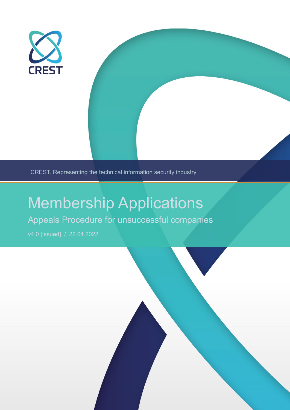

CREST. Representing the technical information security industry

# Membership Applications

## Appeals Procedure for unsuccessful companies

v4.0 [Issued] / 22.04.2022

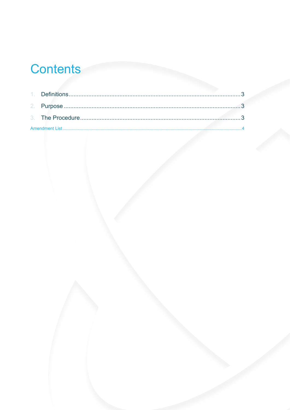# Contents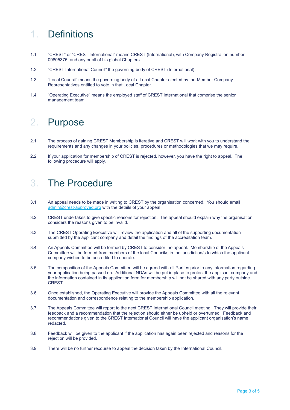### 1. Definitions

- 1.1 "CREST" or "CREST International" means CREST (International), with Company Registration number 09805375, and any or all of his global Chapters.
- 1.2 "CREST International Council" the governing body of CREST (International).
- 1.3 "Local Council" means the governing body of a Local Chapter elected by the Member Company Representatives entitled to vote in that Local Chapter.
- 1.4 "Operating Executive" means the employed staff of CREST International that comprise the senior management team.

### 2. Purpose

- 2.1 The process of gaining CREST Membership is iterative and CREST will work with you to understand the requirements and any changes in your policies, procedures or methodologies that we may require.
- 2.2 If your application for membership of CREST is rejected, however, you have the right to appeal. The following procedure will apply.

#### 3. The Procedure

- 3.1 An appeal needs to be made in writing to CREST by the organisation concerned. You should email [admin@crest-approved.org](mailto:admin@crest-approved.org) with the details of your appeal.
- 3.2 CREST undertakes to give specific reasons for rejection. The appeal should explain why the organisation considers the reasons given to be invalid.
- 3.3 The CREST Operating Executive will review the application and all of the supporting documentation submitted by the applicant company and detail the findings of the accreditation team.
- 3.4 An Appeals Committee will be formed by CREST to consider the appeal. Membership of the Appeals Committee will be formed from members of the local Council/s in the jurisdiction/s to which the applicant company wished to be accredited to operate.
- 3.5 The composition of the Appeals Committee will be agreed with all Parties prior to any information regarding your application being passed on. Additional NDAs will be put in place to protect the applicant company and the information contained in its application form for membership will not be shared with any party outside CREST.
- 3.6 Once established, the Operating Executive will provide the Appeals Committee with all the relevant documentation and correspondence relating to the membership application.
- 3.7 The Appeals Committee will report to the next CREST International Council meeting. They will provide their feedback and a recommendation that the rejection should either be upheld or overturned. Feedback and recommendations given to the CREST International Council will have the applicant organisation's name redacted.
- 3.8 Feedback will be given to the applicant if the application has again been rejected and reasons for the rejection will be provided.
- 3.9 There will be no further recourse to appeal the decision taken by the International Council.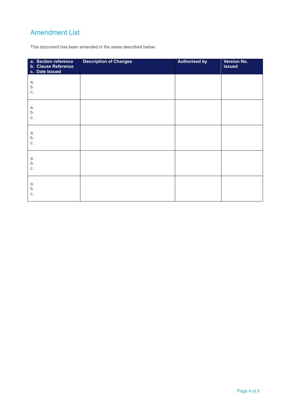#### Amendment List

This document has been amended in the areas described below:

| a. Section reference<br>b. Clause Reference<br>c. Date Issued | <b>Description of Changes</b> | <b>Authorised by</b> | Version No.<br><b>issued</b> |
|---------------------------------------------------------------|-------------------------------|----------------------|------------------------------|
| a.<br>b.<br>C.                                                |                               |                      |                              |
| a.<br>b.<br>C.                                                |                               |                      |                              |
| a.<br>b.<br>C.                                                |                               |                      |                              |
| a.<br>b.<br>C.                                                |                               |                      |                              |
| a.<br>b.<br>C.                                                |                               |                      |                              |